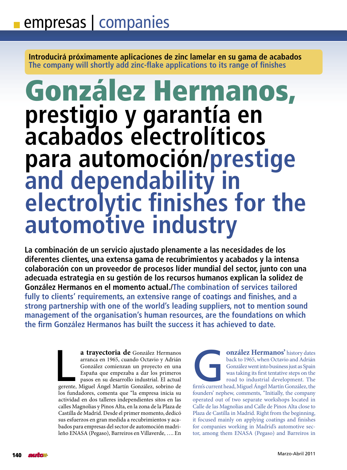**Introducirá próximamente aplicaciones de zinc lamelar en su gama de acabados The company will shortly add zinc-flake applications to its range of finishes**

# González Hermanos, **prestigio y garantía en acabados electrolíticos para automoción/prestige and dependability in electrolytic finishes for the automotive industry**

**La combinación de un servicio ajustado plenamente a las necesidades de los diferentes clientes, una extensa gama de recubrimientos y acabados y la intensa colaboración con un proveedor de procesos líder mundial del sector, junto con una adecuada estrategia en su gestión de los recursos humanos explican la solidez de González Hermanos en el momento actual./The combination of services tailored fully to clients' requirements, an extensive range of coatings and finishes, and a strong partnership with one of the world's leading suppliers, not to mention sound management of the organisation's human resources, are the foundations on which the firm González Hermanos has built the success it has achieved to date.**

> **a trayectoria de** González Hermanos arranca en 1965, cuando Octavio y Adrián González comienzan un proyecto en una España que empezaba a dar los primeros pasos en su desarrollo industrial. El actual gerente, Miguel Ángel Martín González, sobrino de los fundadores, comenta que "la empresa inicia su actividad en dos talleres independientes sitos en las calles Magnolias y Pinos Alta, en la zona de la Plaza de Castilla de Madrid. Desde el primer momento, dedicó sus esfuerzos en gran medida a recubrimientos y acabados para empresas del sector de automoción madrileño ENASA (Pegaso), Barreiros en Villaverde, …. En a trayectoria de González Hermanos<br>arranca en 1965, cuando Octavio y Adrián<br>González comienzan un proyecto en una<br>España que empezaba a dar los primeros<br>pasos en su desarrollo industrial. El actual<br>gerente, Miguel Ángel Ma

**Onzález Hermanos'** history dates<br>back to 1965, when Octavio and Adrián<br>González went into business just as Spain<br>was taking its first tentative steps on the<br>road to industrial development. The<br>ead, Miguel Ángel Martín Gon back to 1965, when Octavio and Adrián González went into business just as Spain was taking its first tentative steps on the road to industrial development. The firm's current head, Miguel Ángel Martín González, the founders' nephew, comments, "Initially, the company operated out of two separate workshops located in Calle de las Magnolias and Calle de Pinos Alta close to Plaza de Castilla in Madrid. Right from the beginning, it focused mainly on applying coatings and finishes for companies working in Madrid's automotive sector, among them ENASA (Pegaso) and Barreiros in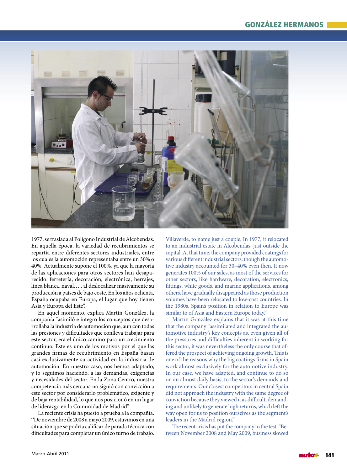

1977, se traslada al Polígono Industrial de Alcobendas. En aquella época, la variedad de recubrimientos se repartía entre diferentes sectores industriales, entre los cuales la automoción representaba entre un 30% o 40%. Actualmente supone el 100%, ya que la mayoría de las aplicaciones para otros sectores han desaparecido: ferretería, decoración, electrónica, herrajes, línea blanca, naval….. al deslocalizar masivamente su producción a países de bajo coste. En los años ochenta, España ocupaba en Europa, el lugar que hoy tienen Asia y Europa del Este".

En aquel momento, explica Martín González, la compañía "asimiló e integró los conceptos que desarrollaba la industria de automoción que, aun con todas las presiones y dificultades que conlleva trabajar para este sector, era el único camino para un crecimiento continuo. Este es uno de los motivos por el que las grandes firmas de recubrimiento en España basan casi exclusivamente su actividad en la industria de automoción. En nuestro caso, nos hemos adaptado, y lo seguimos haciendo, a las demandas, exigencias y necesidades del sector. En la Zona Centro, nuestra competencia más cercana no siguió con convicción a este sector por considerarlo problemático, exigente y de baja rentabilidad, lo que nos posicionó en un lugar de liderazgo en la Comunidad de Madrid".

La reciente crisis ha puesto a prueba a la compañía. "De noviembre de 2008 a mayo 2009, estuvimos en una situación que se podría calificar de parada técnica con dificultades para completar un único turno de trabajo.

Villaverde, to name just a couple. In 1977, it relocated to an industrial estate in Alcobendas, just outside the capital.At that time, the company provided coatings for various different industrial sectors, though the automotive industry accounted for 30–40% even then. It now generates 100% of our sales, as most of the services for other sectors, like hardware, decoration, electronics, fittings, white goods, and marine applications, among others, have gradually disappeared as those production volumes have been relocated to low-cost countries. In the 1980s, Spain's position in relation to Europe was similar to of Asia and Eastern Europe today."

Martín González explains that it was at this time that the company "assimilated and integrated the automotive industry's key concepts as, even given all of the pressures and difficulties inherent in working for this sector, it was nevertheless the only course that offered the prospect of achieving ongoing growth.This is one of the reasons why the big coatings firms in Spain work almost exclusively for the automotive industry. In our case, we have adapted, and continue to do so on an almost daily basis, to the sector's demands and requirements. Our closest competitors in central Spain did not approach the industry with the same degree of conviction because they viewed it as difficult, demanding and unlikely to generate high returns, which left the way open for us to position ourselves as the segment's leaders in the Madrid region."

The recent crisis has put the company to the test."Between November 2008 and May 2009, business slowed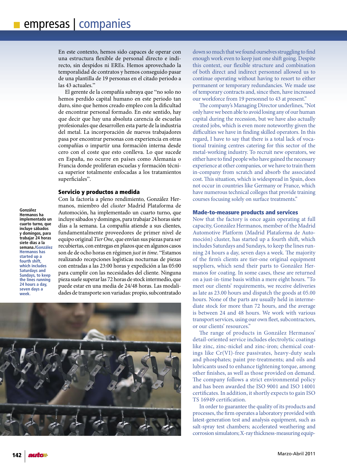En este contexto, hemos sido capaces de operar con una estructura flexible de personal directo e indirecto, sin despidos ni EREs. Hemos aprovechado la temporalidad de contratos y hemos conseguido pasar de una plantilla de 19 personas en el citado periodo a las 43 actuales."

El gerente de la compañía subraya que "no solo no hemos perdido capital humano en este periodo tan duro, sino que hemos creado empleo con la dificultad de encontrar personal formado. En este sentido, hay que decir que hay una absoluta carencia de escuelas profesionales que desarrollen esta parte de la industria del metal. La incorporación de nuevos trabajadores pasa por encontrar personas con experiencia en otras compañías o impartir una formación interna desde cero con el coste que esto conlleva. Lo que sucede en España, no ocurre en países como Alemania o Francia donde proliferan escuelas y formación técnica superior totalmente enfocadas a los tratamientos superficiales".

## Servicio y productos a medida

**González Hermanos ha implementado un cuarto turno, que incluye sábados y domingos, para trabajar 24 horas siete días a la semana./González Hermanos has started up a fourth shift, which includes Saturdays and Sundays, to keep the lines running 24 hours a day, seven days a week.**

Con la factoría a pleno rendimiento, González Hermanos, miembro del *cluster* Madrid Plataforma de Automoción, ha implementado un cuarto turno, que incluye sábados y domingos, para trabajar 24 horas siete días a la semana. La compañía atiende a sus clientes, fundamentalmente proveedores de primer nivel de equipo original *Tier One*, que envían sus piezas para ser recubiertas, con entregas en plazos que en algunos casos son de de ocho horas en régimen *just in time*. "Estamos realizando recepciones logísticas nocturnas de piezas con entradas a las 23:00 horas y expedición a las 05:00 para cumplir con las necesidades del cliente. Ninguna pieza suele superar las 72 horas de stock intermedio, que puede estar en una media de 24/48 horas. Las modalidades de transporte son variadas: propio, subcontratado



down so much that we found ourselves struggling to find enough work even to keep just one shift going. Despite this context, our flexible structure and combination of both direct and indirect personnel allowed us to continue operating without having to resort to either permanent or temporary redundancies. We made use of temporary contracts and, since then, have increased our workforce from 19 personnel to 43 at present."

The company's Managing Director underlines, "Not only have we been able to avoid losing any of our human capital during the recession, but we have also actually created jobs, which is even more noteworthy given the difficulties we have in finding skilled operators. In this regard, I have to say that there is a total lack of vocational training centres catering for this sector of the metal-working industry. To recruit new operators, we either have to find people who have gained the necessary experience at other companies, or we have to train them in-company from scratch and absorb the associated cost. This situation, which is widespread in Spain, does not occur in countries like Germany or France, which have numerous technical colleges that provide training courses focusing solely on surface treatments."

## Made-to-measure products and services

Now that the factory is once again operating at full capacity, González Hermanos, member of the Madrid Automotive Platform (Madrid Plataforma de Automoción) cluster, has started up a fourth shift, which includes Saturdays and Sundays, to keep the lines running 24 hours a day, seven days a week. The majority of the firm's clients are tier-one original equipment suppliers, which send their parts to González Hermanos for coating. In some cases, these are returned on a just-in-time basis within a mere eight hours. "To meet our clients' requirements, we receive deliveries as late as 23.00 hours and dispatch the goods at 05.00 hours. None of the parts are usually held in intermediate stock for more than 72 hours, and the average is between 24 and 48 hours. We work with various transport services, using our own fleet, subcontractors, or our clients' resources."

The range of products in González Hermanos' detail-oriented service includes electrolytic coatings like zinc, zinc-nickel and zinc-iron; chemical coatings like Cr(VI)-free passivates, heavy-duty seals and phosphates; paint pre-treatments; and oils and lubricants used to enhance tightening torque, among other finishes, as well as those provided on demand. The company follows a strict environmental policy and has been awarded the ISO 9001 and ISO 14001 certificates. In addition, it shortly expects to gain ISO TS 16949 certification.

In order to guarantee the quality of its products and processes, the firm operates a laboratory provided with latest-generation test and analysis equipment, such as salt-spray test chambers; accelerated weathering and corrosion simulators; X-ray thickness-measuring equip-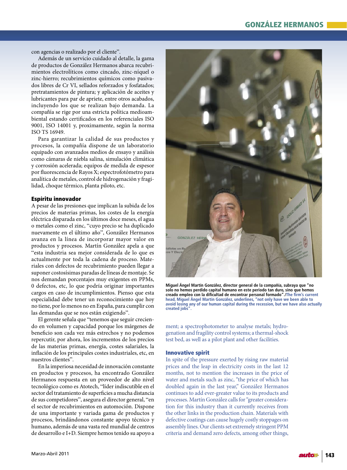# GONZÁLEZ HERMANOS

con agencias o realizado por el cliente".

Además de un servicio cuidado al detalle, la gama de productos de González Hermanos abarca recubrimientos electrolíticos como cincado, zinc-níquel o zinc-hierro; recubrimientos químicos como pasivados libres de Cr VI, sellados reforzados y fosfatados; pretratamientos de pintura; y aplicación de aceites y lubricantes para par de apriete, entre otros acabados, incluyendo los que se realizan bajo demanda. La compañía se rige por una estricta política medioambiental estando certificados en los referenciales ISO 9001, ISO 14001 y, proximamente, según la norma ISO TS 16949.

Para garantizar la calidad de sus productos y procesos, la compañía dispone de un laboratorio equipado con avanzados medios de ensayo y análisis como cámaras de niebla salina, simulación climática y corrosión acelerada; equipos de medida de espesor por fluorescencia de Rayos X; espectrofotómetro para analítica de metales, control de hidrogenación y fragilidad, choque térmico, planta piloto, etc.

# Espíritu innovador

A pesar de las presiones que implican la subida de los precios de materias primas, los costes de la energía eléctrica disparada en los últimos doce meses, el agua o metales como el zinc, "cuyo precio se ha duplicado nuevamente en el último año", González Hermanos avanza en la línea de incorporar mayor valor en productos y procesos. Martín González apela a que "esta industria sea mejor considerada de lo que es actualmente por toda la cadena de proceso. Materiales con defectos de recubrimiento pueden llegar a suponer costosísimas paradas de líneas de montaje. Se nos demandan porcentajes muy exigentes en PPMs, 0 defectos, etc, lo que podría originar importantes cargos en caso de incumplimientos. Pienso que esta especialidad debe tener un reconocimiento que hoy no tiene, por lo menos no en España, para cumplir con las demandas que se nos están exigiendo".

El gerente señala que "tenemos que seguir creciendo en volumen y capacidad porque los márgenes de beneficio son cada vez más estrechos y no podemos repercutir, por ahora, los incrementos de los precios de las materias primas, energía, costes salariales, la inflación de los principales costes industriales, etc, en nuestros clientes".

En la imperiosa necesidad de innovación constante en productos y procesos, ha encontrado González Hermanos respuesta en un proveedor de alto nivel tecnológico como es Atotech, "líder indiscutible en el sector del tratamiento de superficies a mucha distancia de sus competidores", asegura el director general, "en el sector de recubrimientos en automoción. Dispone de una importante y variada gama de productos y procesos, brindándonos constante apoyo técnico y humano, además de una vasta red mundial de centros de desarrollo e I+D. Siempre hemos tenido su apoyo a



**Miguel Ángel Martín González, director general de la compañía, subraya que "no solo no hemos perdido capital humano en este periodo tan duro, sino que hemos creado empleo con la dificultad de encontrar personal formado"./The firm's current head, Miguel Ángel Martín González, underlines, "not only have we been able to avoid losing any of our human capital during the recession, but we have also actually created jobs".**

ment; a spectrophotometer to analyse metals; hydrogenation and fragility control systems; a thermal-shock test bed, as well as a pilot plant and other facilities.

#### Innovative spirit

In spite of the pressure exerted by rising raw material prices and the leap in electricity costs in the last 12 months, not to mention the increases in the price of water and metals such as zinc, "the price of which has doubled again in the last year," González Hermanos continues to add ever-greater value to its products and processes. Martín González calls for "greater consideration for this industry than it currently receives from the other links in the production chain. Materials with defective coatings can cause hugely costly stoppages on assembly lines.Our clients set extremely stringent PPM criteria and demand zero defects, among other things,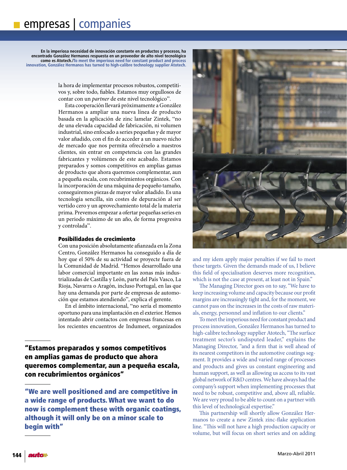**En la imperiosa necesidad de innovación constante en productos y procesos, ha encontrado González Hermanos respuesta en un proveedor de alto nivel tecnológico como es Atotech./To meet the imperious need for constant product and process innovation, González Hermanos has turned to high-calibre technology supplier Atotech.**

> la hora de implementar procesos robustos, competitivos y, sobre todo, fiables. Estamos muy orgullosos de contar con un *partner* de este nivel tecnológico".

> Esta cooperación llevará próximamente a González Hermanos a ampliar una nueva línea de producto basada en la aplicación de zinc lamelar Zintek, "no de una elevada capacidad de fabricación, ni volumen industrial, sino enfocado a series pequeñas y de mayor valor añadido, con el fin de acceder a un nuevo nicho de mercado que nos permita ofrecérselo a nuestros clientes, sin entrar en competencia con las grandes fabricantes y volúmenes de este acabado. Estamos preparados y somos competitivos en amplias gamas de producto que ahora queremos complementar, aun a pequeña escala, con recubrimientos orgánicos. Con la incorporación de una máquina de pequeño tamaño, conseguiremos piezas de mayor valor añadido. Es una tecnología sencilla, sin costes de depuración al ser vertido cero y un aprovechamiento total de la materia prima. Prevemos empezar a ofertar pequeñas series en un periodo máximo de un año, de forma progresiva y controlada".

# Posibilidades de crecimiento

Con una posición absolutamente afianzada en la Zona Centro, González Hermanos ha conseguido a día de hoy que el 50% de su actividad se proyecte fuera de la Comunidad de Madrid. "Hemos desarrollado una labor comercial importante en las zonas más industrializadas de Castilla y León, parte del País Vasco, La Rioja, Navarra o Aragón, incluso Portugal, en las que hay una demanda por parte de empresas de automoción que estamos atendiendo", explica el gerente.

En el ámbito internacional, "no sería el momento oportuno para una implantación en el exterior. Hemos intentado abrir contactos con empresas francesas en los recientes encuentros de Indumeet, organizados

"Estamos preparados y somos competitivos en amplias gamas de producto que ahora queremos complementar, aun a pequeña escala, con recubrimientos orgánicos"

"We are well positioned and are competitive in a wide range of products. What we want to do now is complement these with organic coatings, although it will only be on a minor scale to begin with"



and my idem apply major penalties if we fail to meet these targets. Given the demands made of us, I believe this field of specialisation deserves more recognition, which is not the case at present, at least not in Spain."

The Managing Director goes on to say, "We have to keep increasing volume and capacity because our profit margins are increasingly tight and, for the moment, we cannot pass on the increases in the costs of raw materials, energy, personnel and inflation to our clients."

To meet the imperious need for constant product and process innovation, González Hermanos has turned to high-calibre technology supplier Atotech, "The surface treatment sector's undisputed leader," explains the Managing Director, "and a firm that is well ahead of its nearest competitors in the automotive coatings segment. It provides a wide and varied range of processes and products and gives us constant engineering and human support, as well as allowing us access to its vast global network of R&D centres.We have always had the company's support when implementing processes that need to be robust, competitive and, above all, reliable. We are very proud to be able to count on a partner with this level of technological expertise."

This partnership will shortly allow González Hermanos to create a new Zintek zinc-flake application line. "This will not have a high production capacity or volume, but will focus on short series and on adding